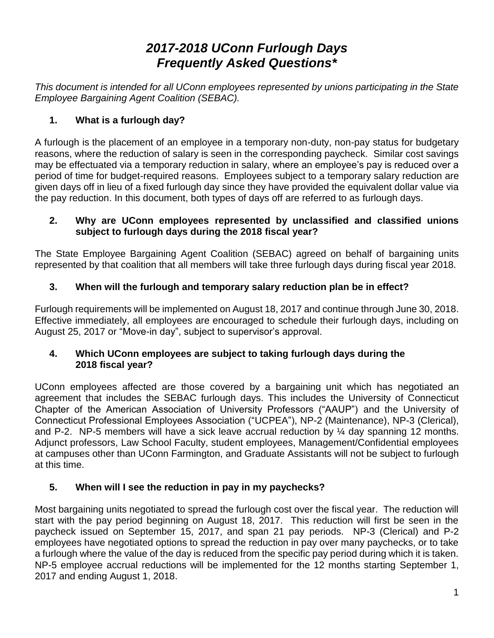# *2017-2018 UConn Furlough Days Frequently Asked Questions\**

*This document is intended for all UConn employees represented by unions participating in the State Employee Bargaining Agent Coalition (SEBAC).*

# **1. What is a furlough day?**

A furlough is the placement of an employee in a temporary non-duty, non-pay status for budgetary reasons, where the reduction of salary is seen in the corresponding paycheck. Similar cost savings may be effectuated via a temporary reduction in salary, where an employee's pay is reduced over a period of time for budget-required reasons. Employees subject to a temporary salary reduction are given days off in lieu of a fixed furlough day since they have provided the equivalent dollar value via the pay reduction. In this document, both types of days off are referred to as furlough days.

# **2. Why are UConn employees represented by unclassified and classified unions subject to furlough days during the 2018 fiscal year?**

The State Employee Bargaining Agent Coalition (SEBAC) agreed on behalf of bargaining units represented by that coalition that all members will take three furlough days during fiscal year 2018.

# **3. When will the furlough and temporary salary reduction plan be in effect?**

Furlough requirements will be implemented on August 18, 2017 and continue through June 30, 2018. Effective immediately, all employees are encouraged to schedule their furlough days, including on August 25, 2017 or "Move-in day", subject to supervisor's approval.

## **4. Which UConn employees are subject to taking furlough days during the 2018 fiscal year?**

UConn employees affected are those covered by a bargaining unit which has negotiated an agreement that includes the SEBAC furlough days. This includes the University of Connecticut Chapter of the American Association of University Professors ("AAUP") and the University of Connecticut Professional Employees Association ("UCPEA"), NP-2 (Maintenance), NP-3 (Clerical), and P-2. NP-5 members will have a sick leave accrual reduction by ¼ day spanning 12 months. Adjunct professors, Law School Faculty, student employees, Management/Confidential employees at campuses other than UConn Farmington, and Graduate Assistants will not be subject to furlough at this time.

# **5. When will I see the reduction in pay in my paychecks?**

Most bargaining units negotiated to spread the furlough cost over the fiscal year. The reduction will start with the pay period beginning on August 18, 2017. This reduction will first be seen in the paycheck issued on September 15, 2017, and span 21 pay periods. NP-3 (Clerical) and P-2 employees have negotiated options to spread the reduction in pay over many paychecks, or to take a furlough where the value of the day is reduced from the specific pay period during which it is taken. NP-5 employee accrual reductions will be implemented for the 12 months starting September 1, 2017 and ending August 1, 2018.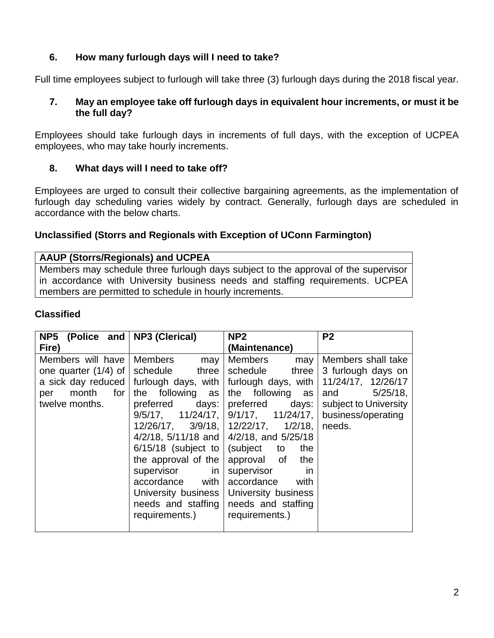# **6. How many furlough days will I need to take?**

Full time employees subject to furlough will take three (3) furlough days during the 2018 fiscal year.

#### **7. May an employee take off furlough days in equivalent hour increments, or must it be the full day?**

Employees should take furlough days in increments of full days, with the exception of UCPEA employees, who may take hourly increments.

## **8. What days will I need to take off?**

Employees are urged to consult their collective bargaining agreements, as the implementation of furlough day scheduling varies widely by contract. Generally, furlough days are scheduled in accordance with the below charts.

### **Unclassified (Storrs and Regionals with Exception of UConn Farmington)**

#### **AAUP (Storrs/Regionals) and UCPEA**

Members may schedule three furlough days subject to the approval of the supervisor in accordance with University business needs and staffing requirements. UCPEA members are permitted to schedule in hourly increments.

#### **Classified**

| NP5 (Police and        | <b>NP3 (Clerical)</b>                                   | NP <sub>2</sub>                                 | P <sub>2</sub>        |
|------------------------|---------------------------------------------------------|-------------------------------------------------|-----------------------|
| Fire)                  |                                                         | (Maintenance)                                   |                       |
| Members will have      | Members<br>may                                          | Members<br>may                                  | Members shall take    |
| one quarter $(1/4)$ of | schedule<br>three                                       | schedule<br>three                               | 3 furlough days on    |
| a sick day reduced $ $ | furlough days, with                                     | furlough days, with                             | 11/24/17, 12/26/17    |
| month<br>for<br>per    | the following as                                        | the following<br>as                             | $5/25/18$ ,<br>and    |
| twelve months.         | preferred<br>days:                                      | preferred<br>days:                              | subject to University |
|                        | $9/5/17$ , $11/24/17$ ,                                 | $9/1/17$ , $11/24/17$ ,                         | business/operating    |
|                        |                                                         | $12/26/17$ , $3/9/18$ , $12/22/17$ , $1/2/18$ , | needs.                |
|                        |                                                         | 4/2/18, 5/11/18 and $\vert$ 4/2/18, and 5/25/18 |                       |
|                        | $6/15/18$ (subject to $\sqrt{\frac{1}{10}}$ (subject to | the                                             |                       |
|                        | the approval of the                                     | approval of<br>the                              |                       |
|                        | supervisor<br>in                                        | supervisor<br>in                                |                       |
|                        | with<br>accordance                                      | accordance<br>with                              |                       |
|                        | University business                                     | University business                             |                       |
|                        | needs and staffing                                      | needs and staffing                              |                       |
|                        | requirements.)                                          | requirements.)                                  |                       |
|                        |                                                         |                                                 |                       |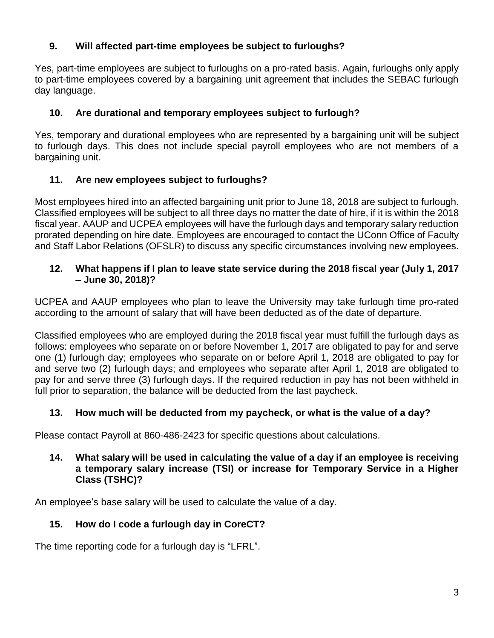# **9. Will affected part-time employees be subject to furloughs?**

Yes, part-time employees are subject to furloughs on a pro-rated basis. Again, furloughs only apply to part-time employees covered by a bargaining unit agreement that includes the SEBAC furlough day language.

# **10. Are durational and temporary employees subject to furlough?**

Yes, temporary and durational employees who are represented by a bargaining unit will be subject to furlough days. This does not include special payroll employees who are not members of a bargaining unit.

# **11. Are new employees subject to furloughs?**

Most employees hired into an affected bargaining unit prior to June 18, 2018 are subject to furlough. Classified employees will be subject to all three days no matter the date of hire, if it is within the 2018 fiscal year. AAUP and UCPEA employees will have the furlough days and temporary salary reduction prorated depending on hire date. Employees are encouraged to contact the UConn Office of Faculty and Staff Labor Relations (OFSLR) to discuss any specific circumstances involving new employees.

## **12. What happens if I plan to leave state service during the 2018 fiscal year (July 1, 2017 – June 30, 2018)?**

UCPEA and AAUP employees who plan to leave the University may take furlough time pro-rated according to the amount of salary that will have been deducted as of the date of departure.

Classified employees who are employed during the 2018 fiscal year must fulfill the furlough days as follows: employees who separate on or before November 1, 2017 are obligated to pay for and serve one (1) furlough day; employees who separate on or before April 1, 2018 are obligated to pay for and serve two (2) furlough days; and employees who separate after April 1, 2018 are obligated to pay for and serve three (3) furlough days. If the required reduction in pay has not been withheld in full prior to separation, the balance will be deducted from the last paycheck.

# **13. How much will be deducted from my paycheck, or what is the value of a day?**

Please contact Payroll at 860-486-2423 for specific questions about calculations.

### **14. What salary will be used in calculating the value of a day if an employee is receiving a temporary salary increase (TSI) or increase for Temporary Service in a Higher Class (TSHC)?**

An employee's base salary will be used to calculate the value of a day.

# **15. How do I code a furlough day in CoreCT?**

The time reporting code for a furlough day is "LFRL".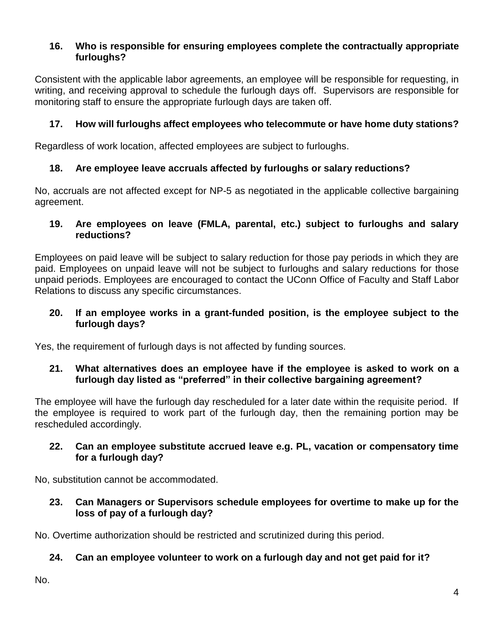## **16. Who is responsible for ensuring employees complete the contractually appropriate furloughs?**

Consistent with the applicable labor agreements, an employee will be responsible for requesting, in writing, and receiving approval to schedule the furlough days off. Supervisors are responsible for monitoring staff to ensure the appropriate furlough days are taken off.

# **17. How will furloughs affect employees who telecommute or have home duty stations?**

Regardless of work location, affected employees are subject to furloughs.

## **18. Are employee leave accruals affected by furloughs or salary reductions?**

No, accruals are not affected except for NP-5 as negotiated in the applicable collective bargaining agreement.

### **19. Are employees on leave (FMLA, parental, etc.) subject to furloughs and salary reductions?**

Employees on paid leave will be subject to salary reduction for those pay periods in which they are paid. Employees on unpaid leave will not be subject to furloughs and salary reductions for those unpaid periods. Employees are encouraged to contact the UConn Office of Faculty and Staff Labor Relations to discuss any specific circumstances.

#### **20. If an employee works in a grant-funded position, is the employee subject to the furlough days?**

Yes, the requirement of furlough days is not affected by funding sources.

### **21. What alternatives does an employee have if the employee is asked to work on a furlough day listed as "preferred" in their collective bargaining agreement?**

The employee will have the furlough day rescheduled for a later date within the requisite period. If the employee is required to work part of the furlough day, then the remaining portion may be rescheduled accordingly.

### **22. Can an employee substitute accrued leave e.g. PL, vacation or compensatory time for a furlough day?**

No, substitution cannot be accommodated.

## **23. Can Managers or Supervisors schedule employees for overtime to make up for the loss of pay of a furlough day?**

No. Overtime authorization should be restricted and scrutinized during this period.

## **24. Can an employee volunteer to work on a furlough day and not get paid for it?**

No.